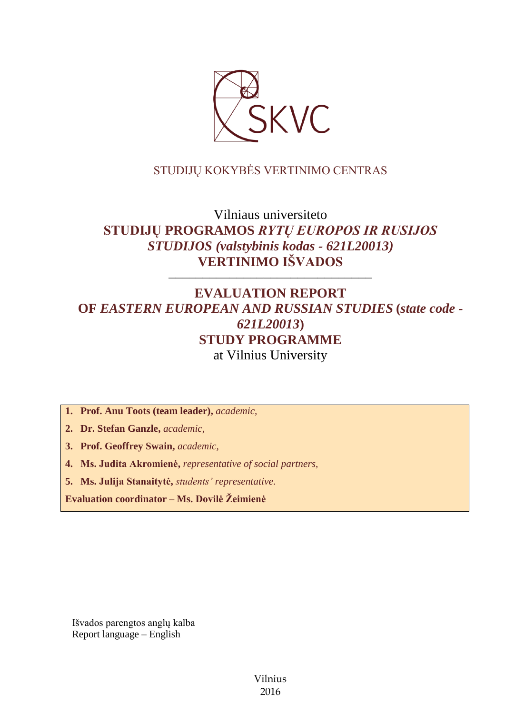

## STUDIJŲ KOKYBĖS VERTINIMO CENTRAS

# Vilniaus universiteto **STUDIJŲ PROGRAMOS** *RYTŲ EUROPOS IR RUSIJOS STUDIJOS (valstybinis kodas - 621L20013)* **VERTINIMO IŠVADOS**

––––––––––––––––––––––––––––––

## **EVALUATION REPORT OF** *EASTERN EUROPEAN AND RUSSIAN STUDIES* **(***state code - 621L20013***) STUDY PROGRAMME** at Vilnius University

**1. Prof. Anu Toots (team leader),** *academic,*

**2. Dr. Stefan Ganzle,** *academic,*

**3. Prof. Geoffrey Swain,** *academic,*

**4. Ms. Judita Akromienė,** *representative of social partners,*

**5. Ms. Julija Stanaitytė,** *students' representative*.

**Evaluation coordinator – Ms. Dovilė Žeimienė**

Išvados parengtos anglų kalba Report language – English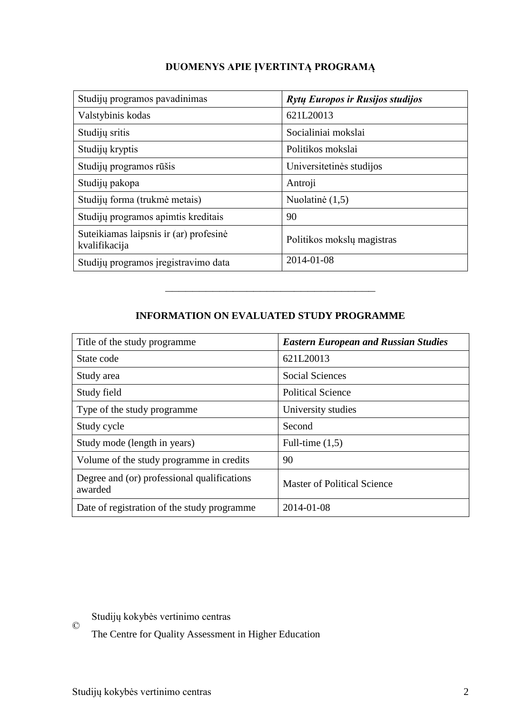| Studijų programos pavadinimas                           | Rytų Europos ir Rusijos studijos |
|---------------------------------------------------------|----------------------------------|
| Valstybinis kodas                                       | 621L20013                        |
| Studijų sritis                                          | Socialiniai mokslai              |
| Studijų kryptis                                         | Politikos mokslai                |
| Studijų programos rūšis                                 | Universitetinės studijos         |
| Studijų pakopa                                          | Antroji                          |
| Studijų forma (trukmė metais)                           | Nuolatinė (1,5)                  |
| Studijų programos apimtis kreditais                     | 90                               |
| Suteikiamas laipsnis ir (ar) profesinė<br>kvalifikacija | Politikos mokslų magistras       |
| Studijų programos įregistravimo data                    | 2014-01-08                       |

## **INFORMATION ON EVALUATED STUDY PROGRAMME**

–––––––––––––––––––––––––––––––

| Title of the study programme.                          | <b>Eastern European and Russian Studies</b> |
|--------------------------------------------------------|---------------------------------------------|
| State code                                             | 621L20013                                   |
| Study area                                             | <b>Social Sciences</b>                      |
| Study field                                            | <b>Political Science</b>                    |
| Type of the study programme                            | University studies                          |
| Study cycle                                            | Second                                      |
| Study mode (length in years)                           | Full-time $(1,5)$                           |
| Volume of the study programme in credits               | 90                                          |
| Degree and (or) professional qualifications<br>awarded | <b>Master of Political Science</b>          |
| Date of registration of the study programme            | 2014-01-08                                  |

 $\copyright$ Studijų kokybės vertinimo centras

The Centre for Quality Assessment in Higher Education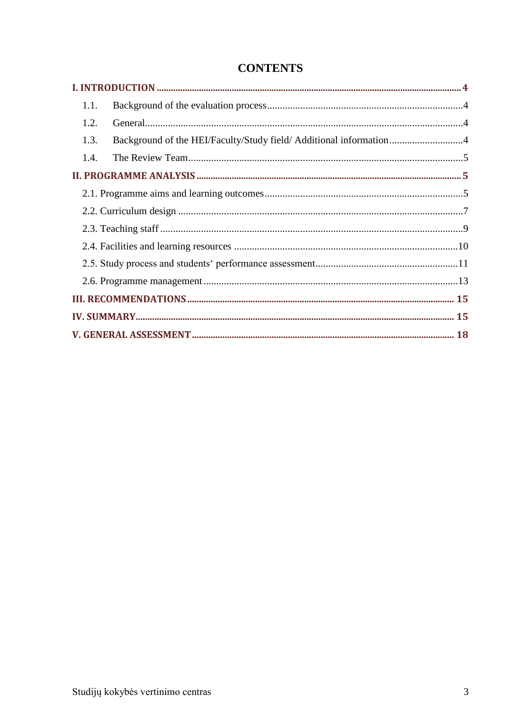| 1.1.                                                                       |  |  |
|----------------------------------------------------------------------------|--|--|
| 1.2.                                                                       |  |  |
| Background of the HEI/Faculty/Study field/ Additional information4<br>1.3. |  |  |
| 1.4.                                                                       |  |  |
|                                                                            |  |  |
|                                                                            |  |  |
|                                                                            |  |  |
|                                                                            |  |  |
|                                                                            |  |  |
|                                                                            |  |  |
|                                                                            |  |  |
|                                                                            |  |  |
|                                                                            |  |  |
|                                                                            |  |  |

## **CONTENTS**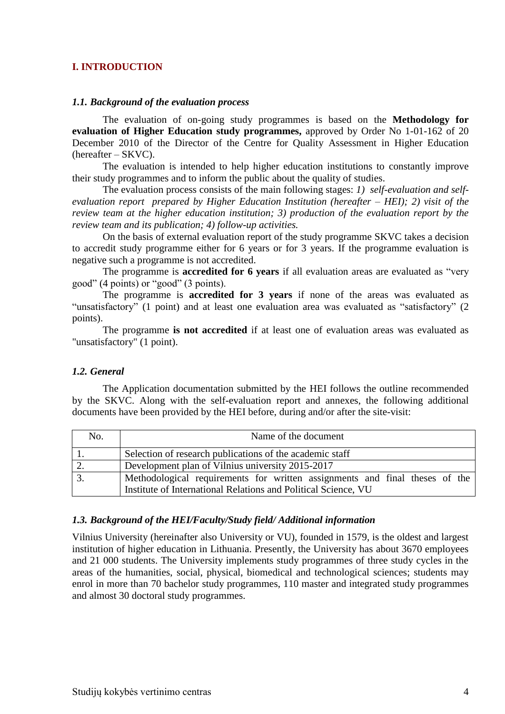#### <span id="page-3-0"></span>**I. INTRODUCTION**

#### <span id="page-3-1"></span>*1.1. Background of the evaluation process*

The evaluation of on-going study programmes is based on the **Methodology for evaluation of Higher Education study programmes,** approved by Order No 1-01-162 of 20 December 2010 of the Director of the Centre for Quality Assessment in Higher Education (hereafter – SKVC).

The evaluation is intended to help higher education institutions to constantly improve their study programmes and to inform the public about the quality of studies.

The evaluation process consists of the main following stages: *1) self-evaluation and selfevaluation report prepared by Higher Education Institution (hereafter – HEI); 2) visit of the review team at the higher education institution; 3) production of the evaluation report by the review team and its publication; 4) follow-up activities.* 

On the basis of external evaluation report of the study programme SKVC takes a decision to accredit study programme either for 6 years or for 3 years. If the programme evaluation is negative such a programme is not accredited.

The programme is **accredited for 6 years** if all evaluation areas are evaluated as "very good" (4 points) or "good" (3 points).

The programme is **accredited for 3 years** if none of the areas was evaluated as "unsatisfactory" (1 point) and at least one evaluation area was evaluated as "satisfactory" (2 points).

The programme **is not accredited** if at least one of evaluation areas was evaluated as "unsatisfactory" (1 point).

#### <span id="page-3-2"></span>*1.2. General*

The Application documentation submitted by the HEI follows the outline recommended by the SKVC. Along with the self-evaluation report and annexes, the following additional documents have been provided by the HEI before, during and/or after the site-visit:

| No. | Name of the document                                                        |
|-----|-----------------------------------------------------------------------------|
|     | Selection of research publications of the academic staff                    |
|     | Development plan of Vilnius university 2015-2017                            |
|     | Methodological requirements for written assignments and final theses of the |
|     | Institute of International Relations and Political Science, VU              |

#### <span id="page-3-3"></span>*1.3. Background of the HEI/Faculty/Study field/ Additional information*

Vilnius University (hereinafter also University or VU), founded in 1579, is the oldest and largest institution of higher education in Lithuania. Presently, the University has about 3670 employees and 21 000 students. The University implements study programmes of three study cycles in the areas of the humanities, social, physical, biomedical and technological sciences; students may enrol in more than 70 bachelor study programmes, 110 master and integrated study programmes and almost 30 doctoral study programmes.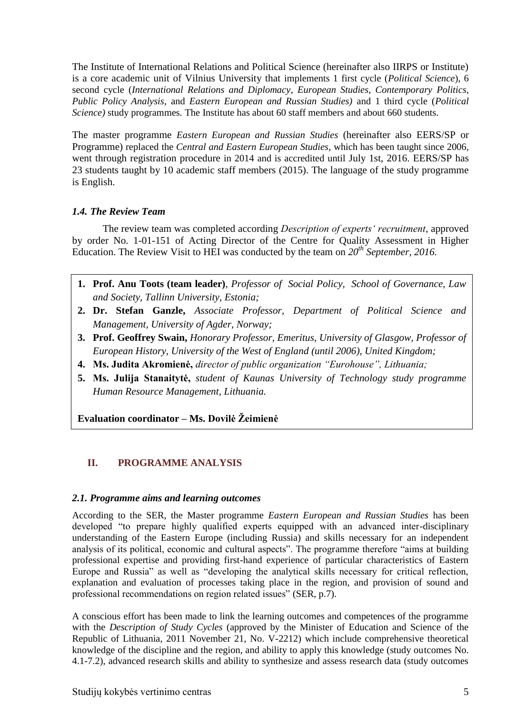The Institute of International Relations and Political Science (hereinafter also IIRPS or Institute) is a core academic unit of Vilnius University that implements 1 first cycle (*Political Science*), 6 second cycle (*International Relations and Diplomacy*, *European Studies*, *Contemporary Politics*, *Public Policy Analysis*, and *Eastern European and Russian Studies)* and 1 third cycle (*Political Science)* study programmes*.* The Institute has about 60 staff members and about 660 students.

The master programme *Eastern European and Russian Studies* (hereinafter also EERS/SP or Programme) replaced the *Central and Eastern European Studies,* which has been taught since 2006, went through registration procedure in 2014 and is accredited until July 1st, 2016. EERS/SP has 23 students taught by 10 academic staff members (2015). The language of the study programme is English.

#### <span id="page-4-0"></span>*1.4. The Review Team*

The review team was completed according *Description of experts' recruitment*, approved by order No. 1-01-151 of Acting Director of the Centre for Quality Assessment in Higher Education. The Review Visit to HEI was conducted by the team on *20th September, 2016.*

- **1. Prof. Anu Toots (team leader)**, *Professor of Social Policy, School of Governance, Law and Society, Tallinn University, Estonia;*
- **2. Dr. Stefan Ganzle,** *Associate Professor, Department of Political Science and Management, University of Agder, Norway;*
- **3. Prof. Geoffrey Swain,** *Honorary Professor, Emeritus, University of Glasgow, Professor of European History, University of the West of England (until 2006), United Kingdom;*
- **4. Ms. Judita Akromienė,** *director of public organization "Eurohouse", Lithuania;*
- **5. Ms. Julija Stanaitytė,** *student of Kaunas University of Technology study programme Human Resource Management, Lithuania.*

<span id="page-4-1"></span>**Evaluation coordinator – Ms. Dovilė Žeimienė**

## **II. PROGRAMME ANALYSIS**

#### <span id="page-4-2"></span>*2.1. Programme aims and learning outcomes*

According to the SER, the Master programme *Eastern European and Russian Studies* has been developed "to prepare highly qualified experts equipped with an advanced inter-disciplinary understanding of the Eastern Europe (including Russia) and skills necessary for an independent analysis of its political, economic and cultural aspects". The programme therefore "aims at building professional expertise and providing first-hand experience of particular characteristics of Eastern Europe and Russia" as well as "developing the analytical skills necessary for critical reflection, explanation and evaluation of processes taking place in the region, and provision of sound and professional recommendations on region related issues" (SER, p.7).

A conscious effort has been made to link the learning outcomes and competences of the programme with the *Description of Study Cycles* (approved by the Minister of Education and Science of the Republic of Lithuania, 2011 November 21, No. V-2212) which include comprehensive theoretical knowledge of the discipline and the region, and ability to apply this knowledge (study outcomes No. 4.1-7.2), advanced research skills and ability to synthesize and assess research data (study outcomes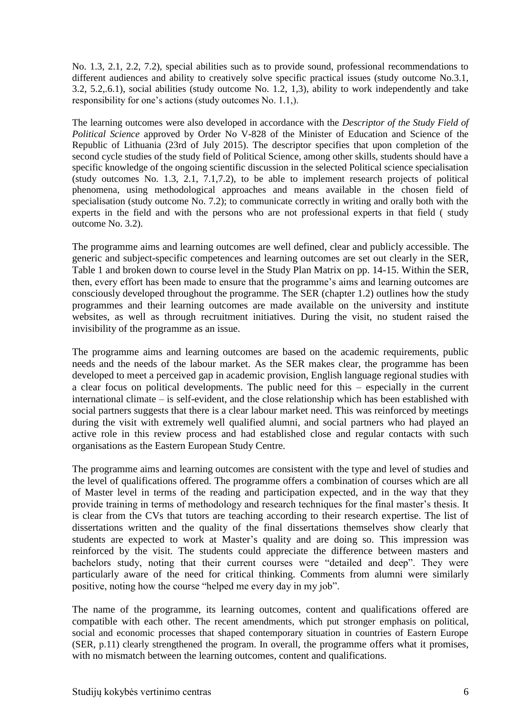No. 1.3, 2.1, 2.2, 7.2), special abilities such as to provide sound, professional recommendations to different audiences and ability to creatively solve specific practical issues (study outcome No.3.1, 3.2, 5.2,.6.1), social abilities (study outcome No. 1.2, 1,3), ability to work independently and take responsibility for one's actions (study outcomes No. 1.1,).

The learning outcomes were also developed in accordance with the *Descriptor of the Study Field of Political Science* approved by Order No V-828 of the Minister of Education and Science of the Republic of Lithuania (23rd of July 2015). The descriptor specifies that upon completion of the second cycle studies of the study field of Political Science, among other skills, students should have a specific knowledge of the ongoing scientific discussion in the selected Political science specialisation (study outcomes No. 1.3, 2.1, 7.1,7.2), to be able to implement research projects of political phenomena, using methodological approaches and means available in the chosen field of specialisation (study outcome No. 7.2); to communicate correctly in writing and orally both with the experts in the field and with the persons who are not professional experts in that field ( study outcome No. 3.2).

The programme aims and learning outcomes are well defined, clear and publicly accessible. The generic and subject-specific competences and learning outcomes are set out clearly in the SER, Table 1 and broken down to course level in the Study Plan Matrix on pp. 14-15. Within the SER, then, every effort has been made to ensure that the programme's aims and learning outcomes are consciously developed throughout the programme. The SER (chapter 1.2) outlines how the study programmes and their learning outcomes are made available on the university and institute websites, as well as through recruitment initiatives. During the visit, no student raised the invisibility of the programme as an issue.

The programme aims and learning outcomes are based on the academic requirements, public needs and the needs of the labour market. As the SER makes clear, the programme has been developed to meet a perceived gap in academic provision, English language regional studies with a clear focus on political developments. The public need for this – especially in the current international climate – is self-evident, and the close relationship which has been established with social partners suggests that there is a clear labour market need. This was reinforced by meetings during the visit with extremely well qualified alumni, and social partners who had played an active role in this review process and had established close and regular contacts with such organisations as the Eastern European Study Centre.

The programme aims and learning outcomes are consistent with the type and level of studies and the level of qualifications offered. The programme offers a combination of courses which are all of Master level in terms of the reading and participation expected, and in the way that they provide training in terms of methodology and research techniques for the final master's thesis. It is clear from the CVs that tutors are teaching according to their research expertise. The list of dissertations written and the quality of the final dissertations themselves show clearly that students are expected to work at Master's quality and are doing so. This impression was reinforced by the visit. The students could appreciate the difference between masters and bachelors study, noting that their current courses were "detailed and deep". They were particularly aware of the need for critical thinking. Comments from alumni were similarly positive, noting how the course "helped me every day in my job".

The name of the programme, its learning outcomes, content and qualifications offered are compatible with each other. The recent amendments, which put stronger emphasis on political, social and economic processes that shaped contemporary situation in countries of Eastern Europe (SER, p.11) clearly strengthened the program. In overall, the programme offers what it promises, with no mismatch between the learning outcomes, content and qualifications.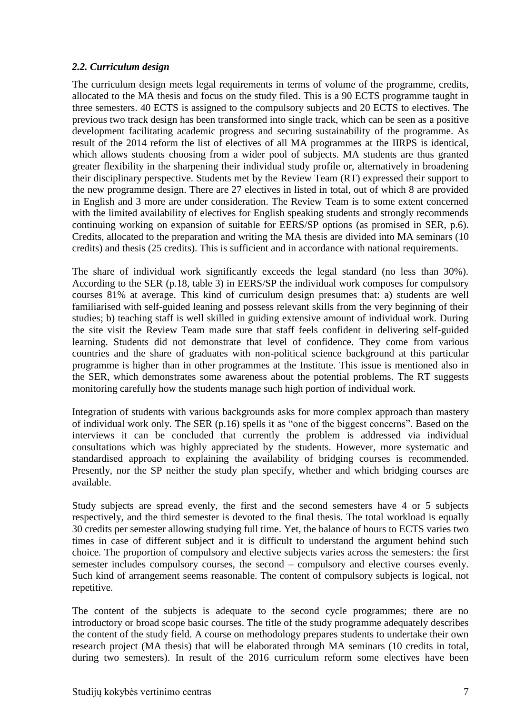#### <span id="page-6-0"></span>*2.2. Curriculum design*

The curriculum design meets legal requirements in terms of volume of the programme, credits, allocated to the MA thesis and focus on the study filed. This is a 90 ECTS programme taught in three semesters. 40 ECTS is assigned to the compulsory subjects and 20 ECTS to electives. The previous two track design has been transformed into single track, which can be seen as a positive development facilitating academic progress and securing sustainability of the programme. As result of the 2014 reform the list of electives of all MA programmes at the IIRPS is identical, which allows students choosing from a wider pool of subjects. MA students are thus granted greater flexibility in the sharpening their individual study profile or, alternatively in broadening their disciplinary perspective. Students met by the Review Team (RT) expressed their support to the new programme design. There are 27 electives in listed in total, out of which 8 are provided in English and 3 more are under consideration. The Review Team is to some extent concerned with the limited availability of electives for English speaking students and strongly recommends continuing working on expansion of suitable for EERS/SP options (as promised in SER, p.6). Credits, allocated to the preparation and writing the MA thesis are divided into MA seminars (10 credits) and thesis (25 credits). This is sufficient and in accordance with national requirements.

The share of individual work significantly exceeds the legal standard (no less than 30%). According to the SER (p.18, table 3) in EERS/SP the individual work composes for compulsory courses 81% at average. This kind of curriculum design presumes that: a) students are well familiarised with self-guided leaning and possess relevant skills from the very beginning of their studies; b) teaching staff is well skilled in guiding extensive amount of individual work. During the site visit the Review Team made sure that staff feels confident in delivering self-guided learning. Students did not demonstrate that level of confidence. They come from various countries and the share of graduates with non-political science background at this particular programme is higher than in other programmes at the Institute. This issue is mentioned also in the SER, which demonstrates some awareness about the potential problems. The RT suggests monitoring carefully how the students manage such high portion of individual work.

Integration of students with various backgrounds asks for more complex approach than mastery of individual work only. The SER (p.16) spells it as "one of the biggest concerns". Based on the interviews it can be concluded that currently the problem is addressed via individual consultations which was highly appreciated by the students. However, more systematic and standardised approach to explaining the availability of bridging courses is recommended. Presently, nor the SP neither the study plan specify, whether and which bridging courses are available.

Study subjects are spread evenly, the first and the second semesters have 4 or 5 subjects respectively, and the third semester is devoted to the final thesis. The total workload is equally 30 credits per semester allowing studying full time. Yet, the balance of hours to ECTS varies two times in case of different subject and it is difficult to understand the argument behind such choice. The proportion of compulsory and elective subjects varies across the semesters: the first semester includes compulsory courses, the second – compulsory and elective courses evenly. Such kind of arrangement seems reasonable. The content of compulsory subjects is logical, not repetitive.

The content of the subjects is adequate to the second cycle programmes; there are no introductory or broad scope basic courses. The title of the study programme adequately describes the content of the study field. A course on methodology prepares students to undertake their own research project (MA thesis) that will be elaborated through MA seminars (10 credits in total, during two semesters). In result of the 2016 curriculum reform some electives have been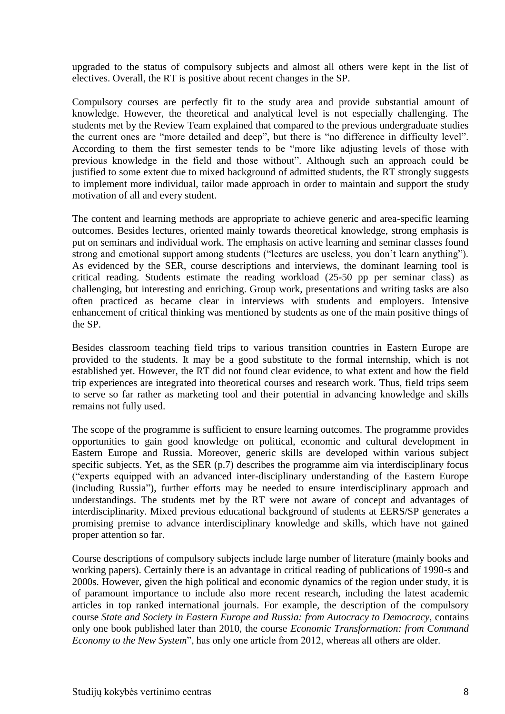upgraded to the status of compulsory subjects and almost all others were kept in the list of electives. Overall, the RT is positive about recent changes in the SP.

Compulsory courses are perfectly fit to the study area and provide substantial amount of knowledge. However, the theoretical and analytical level is not especially challenging. The students met by the Review Team explained that compared to the previous undergraduate studies the current ones are "more detailed and deep", but there is "no difference in difficulty level". According to them the first semester tends to be "more like adjusting levels of those with previous knowledge in the field and those without". Although such an approach could be justified to some extent due to mixed background of admitted students, the RT strongly suggests to implement more individual, tailor made approach in order to maintain and support the study motivation of all and every student.

The content and learning methods are appropriate to achieve generic and area-specific learning outcomes. Besides lectures, oriented mainly towards theoretical knowledge, strong emphasis is put on seminars and individual work. The emphasis on active learning and seminar classes found strong and emotional support among students ("lectures are useless, you don't learn anything"). As evidenced by the SER, course descriptions and interviews, the dominant learning tool is critical reading. Students estimate the reading workload (25-50 pp per seminar class) as challenging, but interesting and enriching. Group work, presentations and writing tasks are also often practiced as became clear in interviews with students and employers. Intensive enhancement of critical thinking was mentioned by students as one of the main positive things of the SP.

Besides classroom teaching field trips to various transition countries in Eastern Europe are provided to the students. It may be a good substitute to the formal internship, which is not established yet. However, the RT did not found clear evidence, to what extent and how the field trip experiences are integrated into theoretical courses and research work. Thus, field trips seem to serve so far rather as marketing tool and their potential in advancing knowledge and skills remains not fully used.

The scope of the programme is sufficient to ensure learning outcomes. The programme provides opportunities to gain good knowledge on political, economic and cultural development in Eastern Europe and Russia. Moreover, generic skills are developed within various subject specific subjects. Yet, as the SER (p.7) describes the programme aim via interdisciplinary focus ("experts equipped with an advanced inter-disciplinary understanding of the Eastern Europe (including Russia"), further efforts may be needed to ensure interdisciplinary approach and understandings. The students met by the RT were not aware of concept and advantages of interdisciplinarity. Mixed previous educational background of students at EERS/SP generates a promising premise to advance interdisciplinary knowledge and skills, which have not gained proper attention so far.

Course descriptions of compulsory subjects include large number of literature (mainly books and working papers). Certainly there is an advantage in critical reading of publications of 1990-s and 2000s. However, given the high political and economic dynamics of the region under study, it is of paramount importance to include also more recent research, including the latest academic articles in top ranked international journals. For example, the description of the compulsory course *State and Society in Eastern Europe and Russia: from Autocracy to Democracy,* contains only one book published later than 2010, the course *Economic Transformation: from Command Economy to the New System*", has only one article from 2012, whereas all others are older.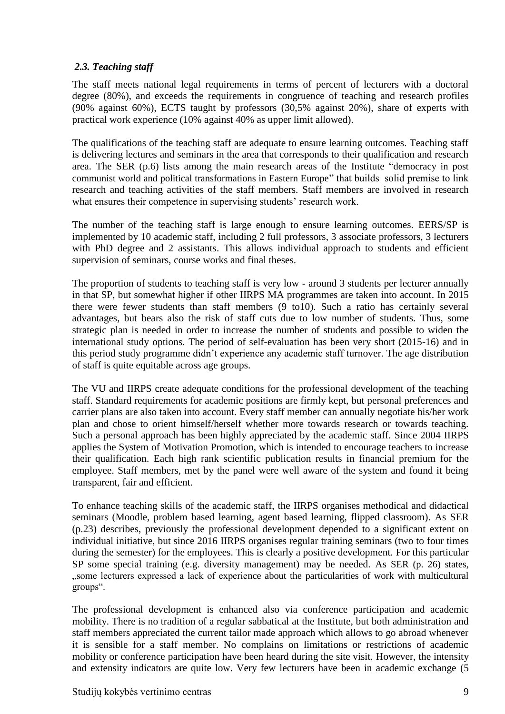## <span id="page-8-0"></span>*2.3. Teaching staff*

The staff meets national legal requirements in terms of percent of lecturers with a doctoral degree (80%), and exceeds the requirements in congruence of teaching and research profiles (90% against 60%), ECTS taught by professors (30,5% against 20%), share of experts with practical work experience (10% against 40% as upper limit allowed).

The qualifications of the teaching staff are adequate to ensure learning outcomes. Teaching staff is delivering lectures and seminars in the area that corresponds to their qualification and research area. The SER (p.6) lists among the main research areas of the Institute "democracy in post communist world and political transformations in Eastern Europe" that builds solid premise to link research and teaching activities of the staff members. Staff members are involved in research what ensures their competence in supervising students' research work.

The number of the teaching staff is large enough to ensure learning outcomes. EERS/SP is implemented by 10 academic staff, including 2 full professors, 3 associate professors, 3 lecturers with PhD degree and 2 assistants. This allows individual approach to students and efficient supervision of seminars, course works and final theses.

The proportion of students to teaching staff is very low - around 3 students per lecturer annually in that SP, but somewhat higher if other IIRPS MA programmes are taken into account. In 2015 there were fewer students than staff members (9 to10). Such a ratio has certainly several advantages, but bears also the risk of staff cuts due to low number of students. Thus, some strategic plan is needed in order to increase the number of students and possible to widen the international study options. The period of self-evaluation has been very short (2015-16) and in this period study programme didn't experience any academic staff turnover. The age distribution of staff is quite equitable across age groups.

The VU and IIRPS create adequate conditions for the professional development of the teaching staff. Standard requirements for academic positions are firmly kept, but personal preferences and carrier plans are also taken into account. Every staff member can annually negotiate his/her work plan and chose to orient himself/herself whether more towards research or towards teaching. Such a personal approach has been highly appreciated by the academic staff. Since 2004 IIRPS applies the System of Motivation Promotion, which is intended to encourage teachers to increase their qualification. Each high rank scientific publication results in financial premium for the employee. Staff members, met by the panel were well aware of the system and found it being transparent, fair and efficient.

To enhance teaching skills of the academic staff, the IIRPS organises methodical and didactical seminars (Moodle, problem based learning, agent based learning, flipped classroom). As SER (p.23) describes, previously the professional development depended to a significant extent on individual initiative, but since 2016 IIRPS organises regular training seminars (two to four times during the semester) for the employees. This is clearly a positive development. For this particular SP some special training (e.g. diversity management) may be needed. As SER (p. 26) states, "some lecturers expressed a lack of experience about the particularities of work with multicultural groups".

The professional development is enhanced also via conference participation and academic mobility. There is no tradition of a regular sabbatical at the Institute, but both administration and staff members appreciated the current tailor made approach which allows to go abroad whenever it is sensible for a staff member. No complains on limitations or restrictions of academic mobility or conference participation have been heard during the site visit. However, the intensity and extensity indicators are quite low. Very few lecturers have been in academic exchange (5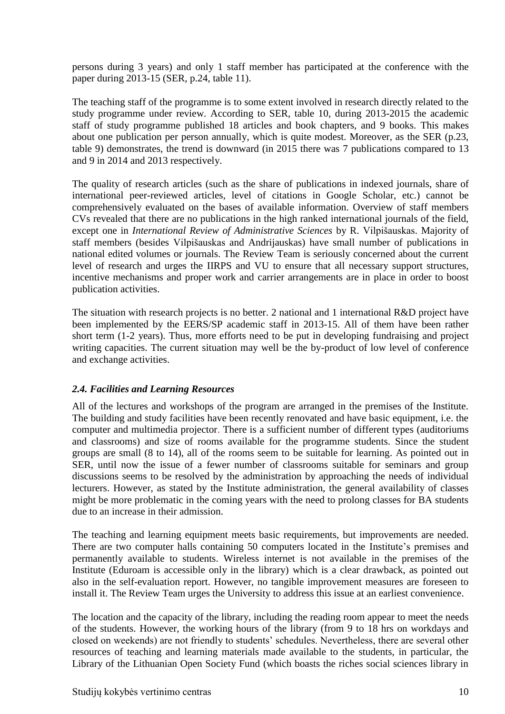persons during 3 years) and only 1 staff member has participated at the conference with the paper during 2013-15 (SER, p.24, table 11).

The teaching staff of the programme is to some extent involved in research directly related to the study programme under review*.* According to SER, table 10, during 2013-2015 the academic staff of study programme published 18 articles and book chapters, and 9 books. This makes about one publication per person annually, which is quite modest. Moreover, as the SER (p.23, table 9) demonstrates, the trend is downward (in 2015 there was 7 publications compared to 13 and 9 in 2014 and 2013 respectively.

The quality of research articles (such as the share of publications in indexed journals, share of international peer-reviewed articles, level of citations in Google Scholar, etc.) cannot be comprehensively evaluated on the bases of available information. Overview of staff members CVs revealed that there are no publications in the high ranked international journals of the field, except one in *International Review of Administrative Sciences* by R. Vilpišauskas. Majority of staff members (besides Vilpišauskas and Andrijauskas) have small number of publications in national edited volumes or journals. The Review Team is seriously concerned about the current level of research and urges the IIRPS and VU to ensure that all necessary support structures, incentive mechanisms and proper work and carrier arrangements are in place in order to boost publication activities.

The situation with research projects is no better. 2 national and 1 international R&D project have been implemented by the EERS/SP academic staff in 2013-15. All of them have been rather short term (1-2 years). Thus, more efforts need to be put in developing fundraising and project writing capacities. The current situation may well be the by-product of low level of conference and exchange activities.

## *2.4. Facilities and Learning Resources*

All of the lectures and workshops of the program are arranged in the premises of the Institute. The building and study facilities have been recently renovated and have basic equipment, i.e. the computer and multimedia projector. There is a sufficient number of different types (auditoriums and classrooms) and size of rooms available for the programme students. Since the student groups are small (8 to 14), all of the rooms seem to be suitable for learning. As pointed out in SER, until now the issue of a fewer number of classrooms suitable for seminars and group discussions seems to be resolved by the administration by approaching the needs of individual lecturers. However, as stated by the Institute administration, the general availability of classes might be more problematic in the coming years with the need to prolong classes for BA students due to an increase in their admission.

The teaching and learning equipment meets basic requirements, but improvements are needed. There are two computer halls containing 50 computers located in the Institute's premises and permanently available to students. Wireless internet is not available in the premises of the Institute (Eduroam is accessible only in the library) which is a clear drawback, as pointed out also in the self-evaluation report. However, no tangible improvement measures are foreseen to install it. The Review Team urges the University to address this issue at an earliest convenience.

The location and the capacity of the library, including the reading room appear to meet the needs of the students. However, the working hours of the library (from 9 to 18 hrs on workdays and closed on weekends) are not friendly to students' schedules. Nevertheless, there are several other resources of teaching and learning materials made available to the students, in particular, the Library of the Lithuanian Open Society Fund (which boasts the riches social sciences library in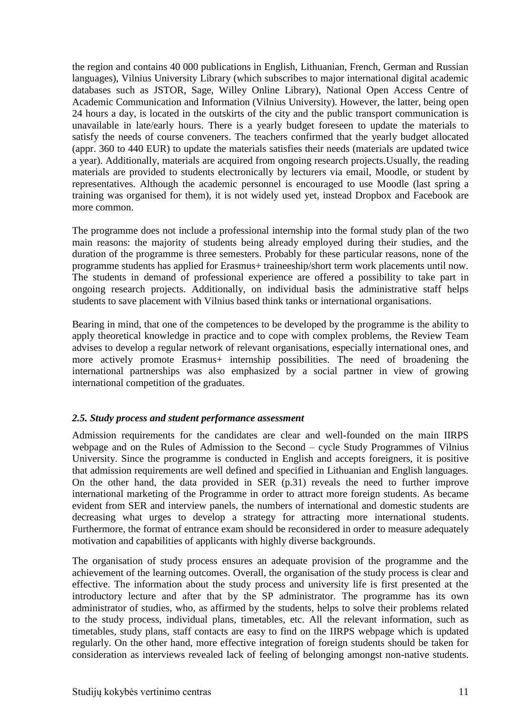the region and contains 40 000 publications in English, Lithuanian, French, German and Russian languages), Vilnius University Library (which subscribes to major international digital academic databases such as JSTOR, Sage, Willey Online Library), National Open Access Centre of Academic Communication and Information (Vilnius University). However, the latter, being open 24 hours a day, is located in the outskirts of the city and the public transport communication is unavailable in late/early hours. There is a yearly budget foreseen to update the materials to satisfy the needs of course conveners. The teachers confirmed that the yearly budget allocated (appr. 360 to 440 EUR) to update the materials satisfies their needs (materials are updated twice a year). Additionally, materials are acquired from ongoing research projects.Usually, the reading materials are provided to students electronically by lecturers via email, Moodle, or student by representatives. Although the academic personnel is encouraged to use Moodle (last spring a training was organised for them), it is not widely used yet, instead Dropbox and Facebook are more common.

The programme does not include a professional internship into the formal study plan of the two main reasons: the majority of students being already employed during their studies, and the duration of the programme is three semesters. Probably for these particular reasons, none of the programme students has applied for Erasmus+ traineeship/short term work placements until now. The students in demand of professional experience are offered a possibility to take part in ongoing research projects. Additionally, on individual basis the administrative staff helps students to save placement with Vilnius based think tanks or international organisations.

Bearing in mind, that one of the competences to be developed by the programme is the ability to apply theoretical knowledge in practice and to cope with complex problems, the Review Team advises to develop a regular network of relevant organisations, especially international ones, and more actively promote Erasmus+ internship possibilities. The need of broadening the international partnerships was also emphasized by a social partner in view of growing international competition of the graduates.

## <span id="page-10-0"></span>*2.5. Study process and student performance assessment*

Admission requirements for the candidates are clear and well-founded on the main IIRPS webpage and on the Rules of Admission to the Second – cycle Study Programmes of Vilnius University. Since the programme is conducted in English and accepts foreigners, it is positive that admission requirements are well defined and specified in Lithuanian and English languages. On the other hand, the data provided in SER (p.31) reveals the need to further improve international marketing of the Programme in order to attract more foreign students. As became evident from SER and interview panels, the numbers of international and domestic students are decreasing what urges to develop a strategy for attracting more international students. Furthermore, the format of entrance exam should be reconsidered in order to measure adequately motivation and capabilities of applicants with highly diverse backgrounds.

The organisation of study process ensures an adequate provision of the programme and the achievement of the learning outcomes. Overall, the organisation of the study process is clear and effective. The information about the study process and university life is first presented at the introductory lecture and after that by the SP administrator. The programme has its own administrator of studies, who, as affirmed by the students, helps to solve their problems related to the study process, individual plans, timetables, etc. All the relevant information, such as timetables, study plans, staff contacts are easy to find on the IIRPS webpage which is updated regularly. On the other hand, more effective integration of foreign students should be taken for consideration as interviews revealed lack of feeling of belonging amongst non-native students.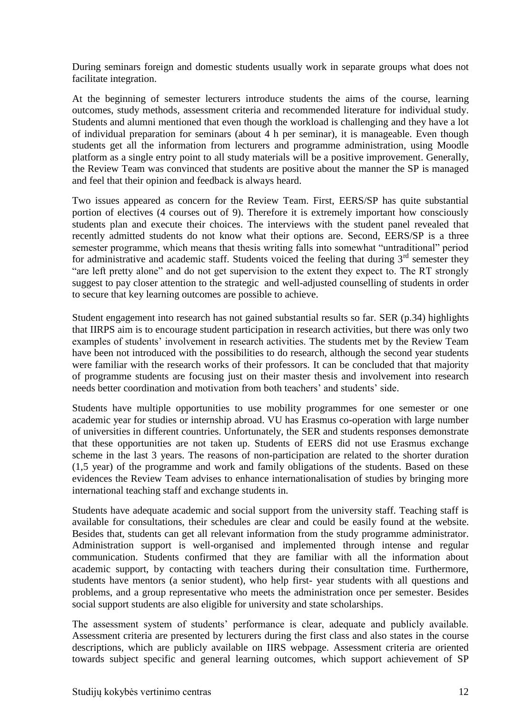During seminars foreign and domestic students usually work in separate groups what does not facilitate integration.

At the beginning of semester lecturers introduce students the aims of the course, learning outcomes, study methods, assessment criteria and recommended literature for individual study. Students and alumni mentioned that even though the workload is challenging and they have a lot of individual preparation for seminars (about 4 h per seminar), it is manageable. Even though students get all the information from lecturers and programme administration, using Moodle platform as a single entry point to all study materials will be a positive improvement. Generally, the Review Team was convinced that students are positive about the manner the SP is managed and feel that their opinion and feedback is always heard.

Two issues appeared as concern for the Review Team. First, EERS/SP has quite substantial portion of electives (4 courses out of 9). Therefore it is extremely important how consciously students plan and execute their choices. The interviews with the student panel revealed that recently admitted students do not know what their options are. Second, EERS/SP is a three semester programme, which means that thesis writing falls into somewhat "untraditional" period for administrative and academic staff. Students voiced the feeling that during  $3<sup>rd</sup>$  semester they "are left pretty alone" and do not get supervision to the extent they expect to. The RT strongly suggest to pay closer attention to the strategic and well-adjusted counselling of students in order to secure that key learning outcomes are possible to achieve.

Student engagement into research has not gained substantial results so far. SER (p.34) highlights that IIRPS aim is to encourage student participation in research activities, but there was only two examples of students' involvement in research activities. The students met by the Review Team have been not introduced with the possibilities to do research, although the second year students were familiar with the research works of their professors. It can be concluded that that majority of programme students are focusing just on their master thesis and involvement into research needs better coordination and motivation from both teachers' and students' side.

Students have multiple opportunities to use mobility programmes for one semester or one academic year for studies or internship abroad. VU has Erasmus co-operation with large number of universities in different countries. Unfortunately, the SER and students responses demonstrate that these opportunities are not taken up. Students of EERS did not use Erasmus exchange scheme in the last 3 years. The reasons of non-participation are related to the shorter duration (1,5 year) of the programme and work and family obligations of the students. Based on these evidences the Review Team advises to enhance internationalisation of studies by bringing more international teaching staff and exchange students in.

Students have adequate academic and social support from the university staff. Teaching staff is available for consultations, their schedules are clear and could be easily found at the website. Besides that, students can get all relevant information from the study programme administrator. Administration support is well-organised and implemented through intense and regular communication. Students confirmed that they are familiar with all the information about academic support, by contacting with teachers during their consultation time. Furthermore, students have mentors (a senior student), who help first- year students with all questions and problems, and a group representative who meets the administration once per semester. Besides social support students are also eligible for university and state scholarships.

The assessment system of students' performance is clear, adequate and publicly available. Assessment criteria are presented by lecturers during the first class and also states in the course descriptions, which are publicly available on IIRS webpage. Assessment criteria are oriented towards subject specific and general learning outcomes, which support achievement of SP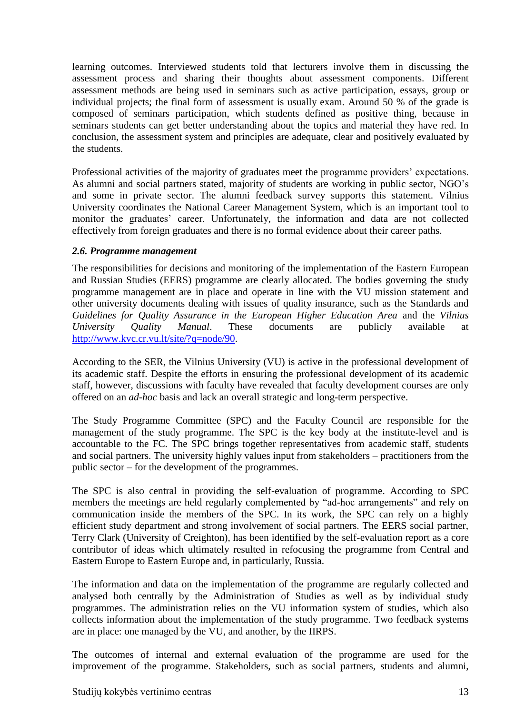learning outcomes. Interviewed students told that lecturers involve them in discussing the assessment process and sharing their thoughts about assessment components. Different assessment methods are being used in seminars such as active participation, essays, group or individual projects; the final form of assessment is usually exam. Around 50 % of the grade is composed of seminars participation, which students defined as positive thing, because in seminars students can get better understanding about the topics and material they have red. In conclusion, the assessment system and principles are adequate, clear and positively evaluated by the students.

Professional activities of the majority of graduates meet the programme providers' expectations. As alumni and social partners stated, majority of students are working in public sector, NGO's and some in private sector. The alumni feedback survey supports this statement. Vilnius University coordinates the National Career Management System, which is an important tool to monitor the graduates' career. Unfortunately, the information and data are not collected effectively from foreign graduates and there is no formal evidence about their career paths.

#### *2.6. Programme management*

The responsibilities for decisions and monitoring of the implementation of the Eastern European and Russian Studies (EERS) programme are clearly allocated. The bodies governing the study programme management are in place and operate in line with the VU mission statement and other university documents dealing with issues of quality insurance, such as the Standards and *Guidelines for Quality Assurance in the European Higher Education Area* and the *Vilnius University Quality Manual*. These documents are publicly available at [http://www.kvc.cr.vu.lt/site/?q=node/90.](http://www.kvc.cr.vu.lt/site/?q=node/90)

According to the SER, the Vilnius University (VU) is active in the professional development of its academic staff. Despite the efforts in ensuring the professional development of its academic staff, however, discussions with faculty have revealed that faculty development courses are only offered on an *ad-hoc* basis and lack an overall strategic and long-term perspective.

The Study Programme Committee (SPC) and the Faculty Council are responsible for the management of the study programme. The SPC is the key body at the institute-level and is accountable to the FC. The SPC brings together representatives from academic staff, students and social partners. The university highly values input from stakeholders – practitioners from the public sector – for the development of the programmes.

The SPC is also central in providing the self-evaluation of programme. According to SPC members the meetings are held regularly complemented by "ad-hoc arrangements" and rely on communication inside the members of the SPC. In its work, the SPC can rely on a highly efficient study department and strong involvement of social partners. The EERS social partner, Terry Clark (University of Creighton), has been identified by the self-evaluation report as a core contributor of ideas which ultimately resulted in refocusing the programme from Central and Eastern Europe to Eastern Europe and, in particularly, Russia.

The information and data on the implementation of the programme are regularly collected and analysed both centrally by the Administration of Studies as well as by individual study programmes. The administration relies on the VU information system of studies, which also collects information about the implementation of the study programme. Two feedback systems are in place: one managed by the VU, and another, by the IIRPS.

The outcomes of internal and external evaluation of the programme are used for the improvement of the programme. Stakeholders, such as social partners, students and alumni,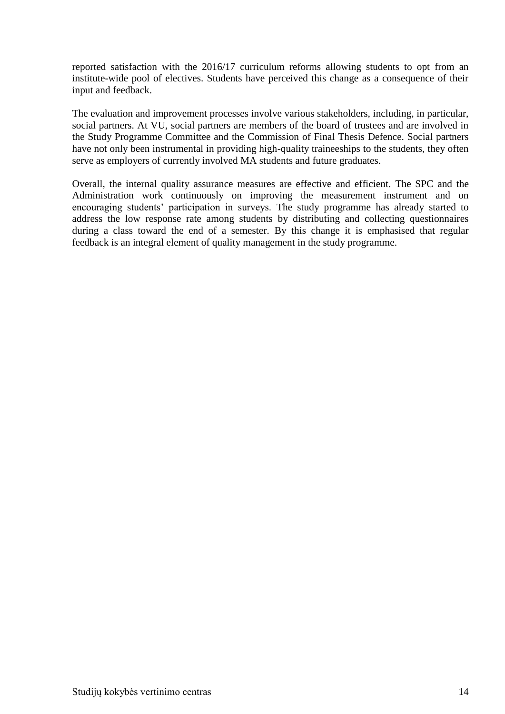reported satisfaction with the 2016/17 curriculum reforms allowing students to opt from an institute-wide pool of electives. Students have perceived this change as a consequence of their input and feedback.

The evaluation and improvement processes involve various stakeholders, including, in particular, social partners. At VU, social partners are members of the board of trustees and are involved in the Study Programme Committee and the Commission of Final Thesis Defence. Social partners have not only been instrumental in providing high-quality traineeships to the students, they often serve as employers of currently involved MA students and future graduates.

Overall, the internal quality assurance measures are effective and efficient. The SPC and the Administration work continuously on improving the measurement instrument and on encouraging students' participation in surveys. The study programme has already started to address the low response rate among students by distributing and collecting questionnaires during a class toward the end of a semester. By this change it is emphasised that regular feedback is an integral element of quality management in the study programme.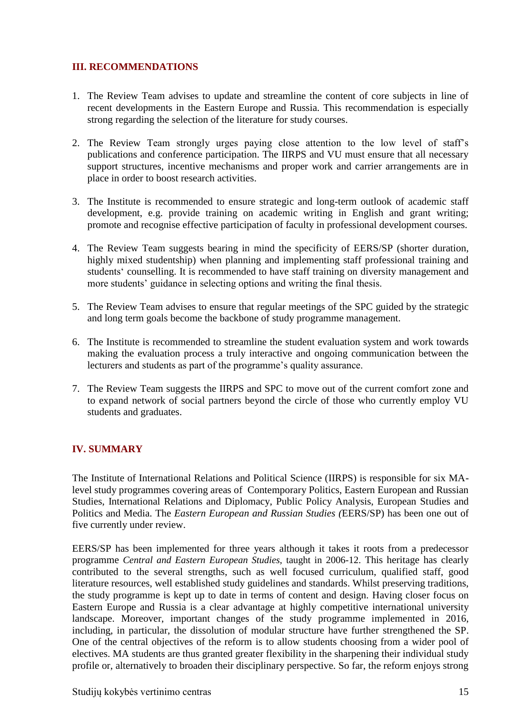## <span id="page-14-0"></span>**III. RECOMMENDATIONS**

- 1. The Review Team advises to update and streamline the content of core subjects in line of recent developments in the Eastern Europe and Russia. This recommendation is especially strong regarding the selection of the literature for study courses.
- 2. The Review Team strongly urges paying close attention to the low level of staff's publications and conference participation. The IIRPS and VU must ensure that all necessary support structures, incentive mechanisms and proper work and carrier arrangements are in place in order to boost research activities.
- 3. The Institute is recommended to ensure strategic and long-term outlook of academic staff development, e.g. provide training on academic writing in English and grant writing; promote and recognise effective participation of faculty in professional development courses.
- 4. The Review Team suggests bearing in mind the specificity of EERS/SP (shorter duration, highly mixed studentship) when planning and implementing staff professional training and students' counselling. It is recommended to have staff training on diversity management and more students' guidance in selecting options and writing the final thesis.
- 5. The Review Team advises to ensure that regular meetings of the SPC guided by the strategic and long term goals become the backbone of study programme management.
- 6. The Institute is recommended to streamline the student evaluation system and work towards making the evaluation process a truly interactive and ongoing communication between the lecturers and students as part of the programme's quality assurance.
- 7. The Review Team suggests the IIRPS and SPC to move out of the current comfort zone and to expand network of social partners beyond the circle of those who currently employ VU students and graduates.

## <span id="page-14-1"></span>**IV. SUMMARY**

The Institute of International Relations and Political Science (IIRPS) is responsible for six MAlevel study programmes covering areas of Contemporary Politics, Eastern European and Russian Studies, International Relations and Diplomacy, Public Policy Analysis, European Studies and Politics and Media. The *Eastern European and Russian Studies (*EERS/SP) has been one out of five currently under review.

EERS/SP has been implemented for three years although it takes it roots from a predecessor programme *Central and Eastern European Studies,* taught in 2006-12. This heritage has clearly contributed to the several strengths, such as well focused curriculum, qualified staff, good literature resources, well established study guidelines and standards. Whilst preserving traditions, the study programme is kept up to date in terms of content and design. Having closer focus on Eastern Europe and Russia is a clear advantage at highly competitive international university landscape. Moreover, important changes of the study programme implemented in 2016, including, in particular, the dissolution of modular structure have further strengthened the SP. One of the central objectives of the reform is to allow students choosing from a wider pool of electives. MA students are thus granted greater flexibility in the sharpening their individual study profile or, alternatively to broaden their disciplinary perspective. So far, the reform enjoys strong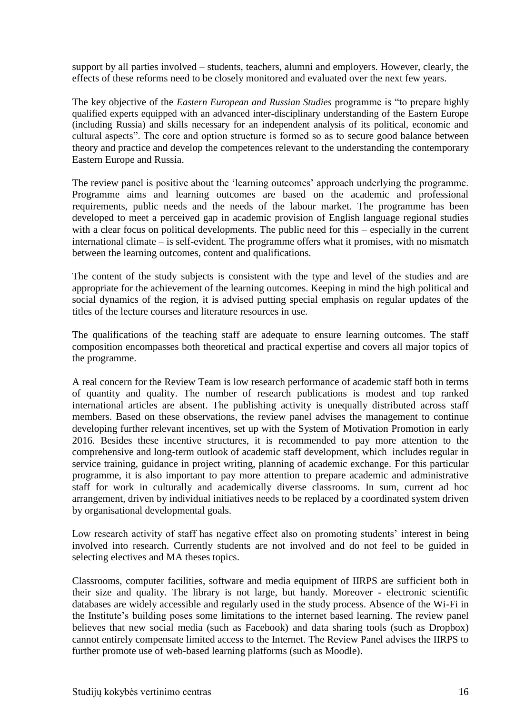support by all parties involved – students, teachers, alumni and employers. However, clearly, the effects of these reforms need to be closely monitored and evaluated over the next few years.

The key objective of the *Eastern European and Russian Studies* programme is "to prepare highly qualified experts equipped with an advanced inter-disciplinary understanding of the Eastern Europe (including Russia) and skills necessary for an independent analysis of its political, economic and cultural aspects". The core and option structure is formed so as to secure good balance between theory and practice and develop the competences relevant to the understanding the contemporary Eastern Europe and Russia.

The review panel is positive about the 'learning outcomes' approach underlying the programme. Programme aims and learning outcomes are based on the academic and professional requirements, public needs and the needs of the labour market. The programme has been developed to meet a perceived gap in academic provision of English language regional studies with a clear focus on political developments. The public need for this – especially in the current international climate – is self-evident. The programme offers what it promises, with no mismatch between the learning outcomes, content and qualifications.

The content of the study subjects is consistent with the type and level of the studies and are appropriate for the achievement of the learning outcomes. Keeping in mind the high political and social dynamics of the region, it is advised putting special emphasis on regular updates of the titles of the lecture courses and literature resources in use.

The qualifications of the teaching staff are adequate to ensure learning outcomes. The staff composition encompasses both theoretical and practical expertise and covers all major topics of the programme.

A real concern for the Review Team is low research performance of academic staff both in terms of quantity and quality. The number of research publications is modest and top ranked international articles are absent. The publishing activity is unequally distributed across staff members. Based on these observations, the review panel advises the management to continue developing further relevant incentives, set up with the System of Motivation Promotion in early 2016. Besides these incentive structures, it is recommended to pay more attention to the comprehensive and long-term outlook of academic staff development, which includes regular in service training, guidance in project writing, planning of academic exchange. For this particular programme, it is also important to pay more attention to prepare academic and administrative staff for work in culturally and academically diverse classrooms. In sum, current ad hoc arrangement, driven by individual initiatives needs to be replaced by a coordinated system driven by organisational developmental goals.

Low research activity of staff has negative effect also on promoting students' interest in being involved into research. Currently students are not involved and do not feel to be guided in selecting electives and MA theses topics.

Classrooms, computer facilities, software and media equipment of IIRPS are sufficient both in their size and quality. The library is not large, but handy. Moreover - electronic scientific databases are widely accessible and regularly used in the study process. Absence of the Wi-Fi in the Institute's building poses some limitations to the internet based learning. The review panel believes that new social media (such as Facebook) and data sharing tools (such as Dropbox) cannot entirely compensate limited access to the Internet. The Review Panel advises the IIRPS to further promote use of web-based learning platforms (such as Moodle).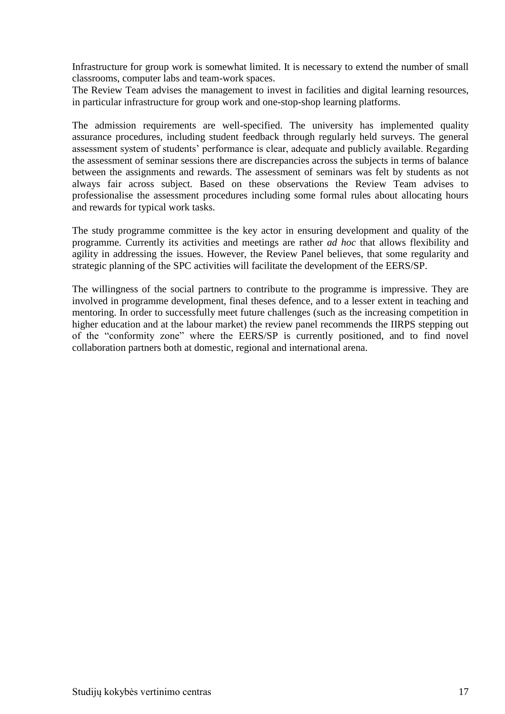Infrastructure for group work is somewhat limited. It is necessary to extend the number of small classrooms, computer labs and team-work spaces.

The Review Team advises the management to invest in facilities and digital learning resources, in particular infrastructure for group work and one-stop-shop learning platforms.

The admission requirements are well-specified. The university has implemented quality assurance procedures, including student feedback through regularly held surveys. The general assessment system of students' performance is clear, adequate and publicly available. Regarding the assessment of seminar sessions there are discrepancies across the subjects in terms of balance between the assignments and rewards. The assessment of seminars was felt by students as not always fair across subject. Based on these observations the Review Team advises to professionalise the assessment procedures including some formal rules about allocating hours and rewards for typical work tasks.

The study programme committee is the key actor in ensuring development and quality of the programme. Currently its activities and meetings are rather *ad hoc* that allows flexibility and agility in addressing the issues. However, the Review Panel believes, that some regularity and strategic planning of the SPC activities will facilitate the development of the EERS/SP.

The willingness of the social partners to contribute to the programme is impressive. They are involved in programme development, final theses defence, and to a lesser extent in teaching and mentoring. In order to successfully meet future challenges (such as the increasing competition in higher education and at the labour market) the review panel recommends the IIRPS stepping out of the "conformity zone" where the EERS/SP is currently positioned, and to find novel collaboration partners both at domestic, regional and international arena.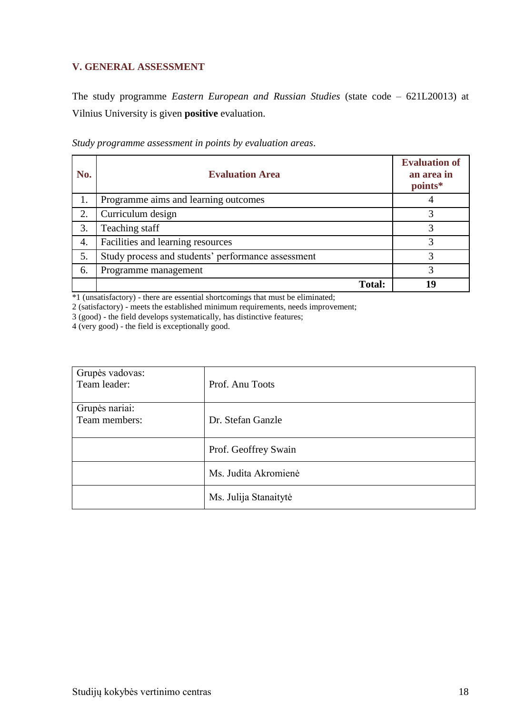## <span id="page-17-0"></span>**V. GENERAL ASSESSMENT**

The study programme *Eastern European and Russian Studies* (state code – 621L20013) at Vilnius University is given **positive** evaluation.

| No. | <b>Evaluation Area</b>                             | <b>Evaluation of</b><br>an area in<br>points* |
|-----|----------------------------------------------------|-----------------------------------------------|
| 1.  | Programme aims and learning outcomes               |                                               |
| 2.  | Curriculum design                                  |                                               |
| 3.  | Teaching staff                                     | 3                                             |
| 4.  | Facilities and learning resources                  | 3                                             |
| 5.  | Study process and students' performance assessment | 2                                             |
| 6.  | Programme management                               |                                               |
|     | <b>Total:</b>                                      | 19                                            |

*Study programme assessment in points by evaluation areas*.

\*1 (unsatisfactory) - there are essential shortcomings that must be eliminated;

2 (satisfactory) - meets the established minimum requirements, needs improvement;

3 (good) - the field develops systematically, has distinctive features;

4 (very good) - the field is exceptionally good.

| Grupės vadovas:<br>Team leader: | Prof. Anu Toots       |
|---------------------------------|-----------------------|
| Grupės nariai:<br>Team members: | Dr. Stefan Ganzle     |
|                                 | Prof. Geoffrey Swain  |
|                                 | Ms. Judita Akromienė  |
|                                 | Ms. Julija Stanaitytė |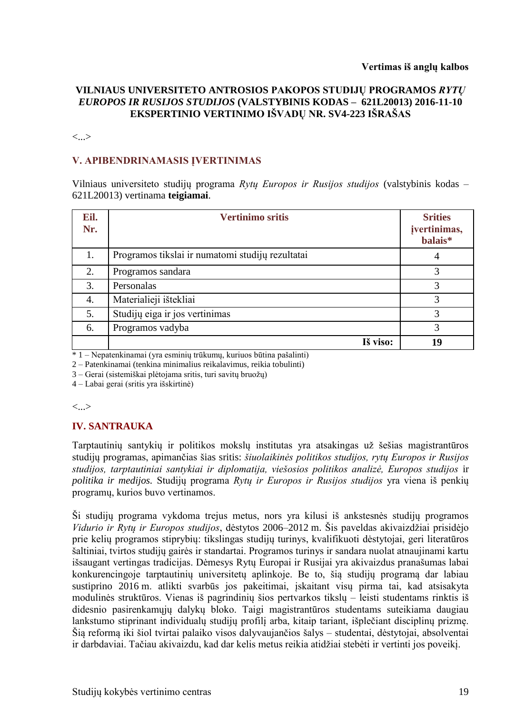#### **VILNIAUS UNIVERSITETO ANTROSIOS PAKOPOS STUDIJŲ PROGRAMOS** *RYTŲ EUROPOS IR RUSIJOS STUDIJOS* **(VALSTYBINIS KODAS – 621L20013) 2016-11-10 EKSPERTINIO VERTINIMO IŠVADŲ NR. SV4-223 IŠRAŠAS**

<...>

## **V. APIBENDRINAMASIS ĮVERTINIMAS**

Vilniaus universiteto studijų programa *Rytų Europos ir Rusijos studijos* (valstybinis kodas – 621L20013) vertinama **teigiamai**.

| Eil.<br>Nr. | <b>Vertinimo sritis</b>                          | <b>Srities</b><br>įvertinimas,<br>balais* |
|-------------|--------------------------------------------------|-------------------------------------------|
| 1.          | Programos tikslai ir numatomi studijų rezultatai | 4                                         |
| 2.          | Programos sandara                                | 3                                         |
| 3.          | Personalas                                       | 3                                         |
| 4.          | Materialieji ištekliai                           | 3                                         |
| 5.          | Studijų eiga ir jos vertinimas                   | 3                                         |
| 6.          | Programos vadyba                                 | 3                                         |
|             | Iš viso:                                         | 19                                        |

\* 1 – Nepatenkinamai (yra esminių trūkumų, kuriuos būtina pašalinti)

2 – Patenkinamai (tenkina minimalius reikalavimus, reikia tobulinti)

3 – Gerai (sistemiškai plėtojama sritis, turi savitų bruožų)

4 – Labai gerai (sritis yra išskirtinė)

<...>

#### **IV. SANTRAUKA**

Tarptautinių santykių ir politikos mokslų institutas yra atsakingas už šešias magistrantūros studijų programas, apimančias šias sritis: *šiuolaikinės politikos studijos, rytų Europos ir Rusijos studijos, tarptautiniai santykiai ir diplomatija, viešosios politikos analizė, Europos studijos* ir *politika ir medijos.* Studijų programa *Rytų ir Europos ir Rusijos studijos* yra viena iš penkių programų, kurios buvo vertinamos.

Ši studijų programa vykdoma trejus metus, nors yra kilusi iš ankstesnės studijų programos *Vidurio ir Rytų ir Europos studijos*, dėstytos 2006–2012 m. Šis paveldas akivaizdžiai prisidėjo prie kelių programos stiprybių: tikslingas studijų turinys, kvalifikuoti dėstytojai, geri literatūros šaltiniai, tvirtos studijų gairės ir standartai. Programos turinys ir sandara nuolat atnaujinami kartu išsaugant vertingas tradicijas. Dėmesys Rytų Europai ir Rusijai yra akivaizdus pranašumas labai konkurencingoje tarptautinių universitetų aplinkoje. Be to, šią studijų programą dar labiau sustiprino 2016 m. atlikti svarbūs jos pakeitimai, įskaitant visų pirma tai, kad atsisakyta modulinės struktūros. Vienas iš pagrindinių šios pertvarkos tikslų – leisti studentams rinktis iš didesnio pasirenkamųjų dalykų bloko. Taigi magistrantūros studentams suteikiama daugiau lankstumo stiprinant individualų studijų profilį arba, kitaip tariant, išplečiant disciplinų prizmę. Šią reformą iki šiol tvirtai palaiko visos dalyvaujančios šalys – studentai, dėstytojai, absolventai ir darbdaviai. Tačiau akivaizdu, kad dar kelis metus reikia atidžiai stebėti ir vertinti jos poveikį.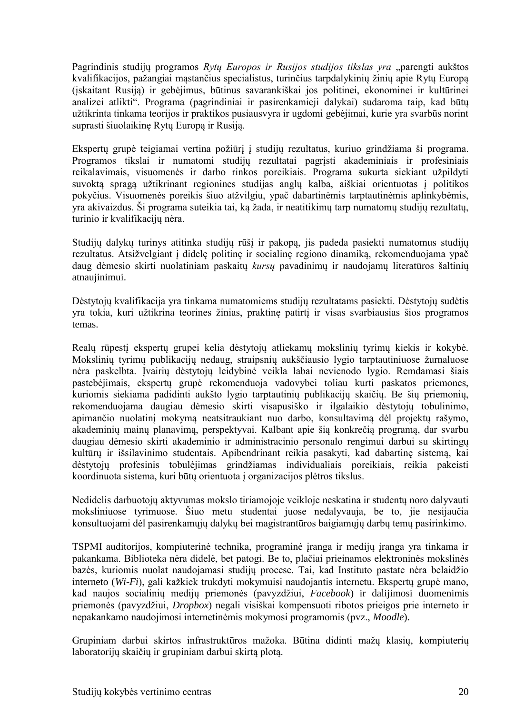Pagrindinis studijų programos Rytų Europos ir Rusijos studijos tikslas yra "parengti aukštos kvalifikacijos, pažangiai mąstančius specialistus, turinčius tarpdalykinių žinių apie Rytų Europą (įskaitant Rusiją) ir gebėjimus, būtinus savarankiškai jos politinei, ekonominei ir kultūrinei analizei atlikti". Programa (pagrindiniai ir pasirenkamieji dalykai) sudaroma taip, kad būtų užtikrinta tinkama teorijos ir praktikos pusiausvyra ir ugdomi gebėjimai, kurie yra svarbūs norint suprasti šiuolaikinę Rytų Europą ir Rusiją.

Ekspertų grupė teigiamai vertina požiūrį į studijų rezultatus, kuriuo grindžiama ši programa. Programos tikslai ir numatomi studijų rezultatai pagrįsti akademiniais ir profesiniais reikalavimais, visuomenės ir darbo rinkos poreikiais. Programa sukurta siekiant užpildyti suvoktą spragą užtikrinant regionines studijas anglų kalba, aiškiai orientuotas į politikos pokyčius. Visuomenės poreikis šiuo atžvilgiu, ypač dabartinėmis tarptautinėmis aplinkybėmis, yra akivaizdus. Ši programa suteikia tai, ką žada, ir neatitikimų tarp numatomų studijų rezultatų, turinio ir kvalifikacijų nėra.

Studijų dalykų turinys atitinka studijų rūšį ir pakopą, jis padeda pasiekti numatomus studijų rezultatus. Atsižvelgiant į didelę politinę ir socialinę regiono dinamiką, rekomenduojama ypač daug dėmesio skirti nuolatiniam paskaitų *kursų* pavadinimų ir naudojamų literatūros šaltinių atnaujinimui.

Dėstytojų kvalifikacija yra tinkama numatomiems studijų rezultatams pasiekti. Dėstytojų sudėtis yra tokia, kuri užtikrina teorines žinias, praktinę patirtį ir visas svarbiausias šios programos temas.

Realų rūpestį ekspertų grupei kelia dėstytojų atliekamų mokslinių tyrimų kiekis ir kokybė. Mokslinių tyrimų publikacijų nedaug, straipsnių aukščiausio lygio tarptautiniuose žurnaluose nėra paskelbta. Įvairių dėstytojų leidybinė veikla labai nevienodo lygio. Remdamasi šiais pastebėjimais, ekspertų grupė rekomenduoja vadovybei toliau kurti paskatos priemones, kuriomis siekiama padidinti aukšto lygio tarptautinių publikacijų skaičių. Be šių priemonių, rekomenduojama daugiau dėmesio skirti visapusiško ir ilgalaikio dėstytojų tobulinimo, apimančio nuolatinį mokymą neatsitraukiant nuo darbo, konsultavimą dėl projektų rašymo, akademinių mainų planavimą, perspektyvai. Kalbant apie šią konkrečią programą, dar svarbu daugiau dėmesio skirti akademinio ir administracinio personalo rengimui darbui su skirtingų kultūrų ir išsilavinimo studentais. Apibendrinant reikia pasakyti, kad dabartinę sistemą, kai dėstytojų profesinis tobulėjimas grindžiamas individualiais poreikiais, reikia pakeisti koordinuota sistema, kuri būtų orientuota į organizacijos plėtros tikslus.

Nedidelis darbuotojų aktyvumas mokslo tiriamojoje veikloje neskatina ir studentų noro dalyvauti moksliniuose tyrimuose. Šiuo metu studentai juose nedalyvauja, be to, jie nesijaučia konsultuojami dėl pasirenkamųjų dalykų bei magistrantūros baigiamųjų darbų temų pasirinkimo.

TSPMI auditorijos, kompiuterinė technika, programinė įranga ir medijų įranga yra tinkama ir pakankama. Biblioteka nėra didelė, bet patogi. Be to, plačiai prieinamos elektroninės mokslinės bazės, kuriomis nuolat naudojamasi studijų procese. Tai, kad Instituto pastate nėra belaidžio interneto (*Wi-Fi*), gali kažkiek trukdyti mokymuisi naudojantis internetu. Ekspertų grupė mano, kad naujos socialinių medijų priemonės (pavyzdžiui, *Facebook*) ir dalijimosi duomenimis priemonės (pavyzdžiui, *Dropbox*) negali visiškai kompensuoti ribotos prieigos prie interneto ir nepakankamo naudojimosi internetinėmis mokymosi programomis (pvz., *Moodle*).

Grupiniam darbui skirtos infrastruktūros mažoka. Būtina didinti mažų klasių, kompiuterių laboratorijų skaičių ir grupiniam darbui skirtą plotą.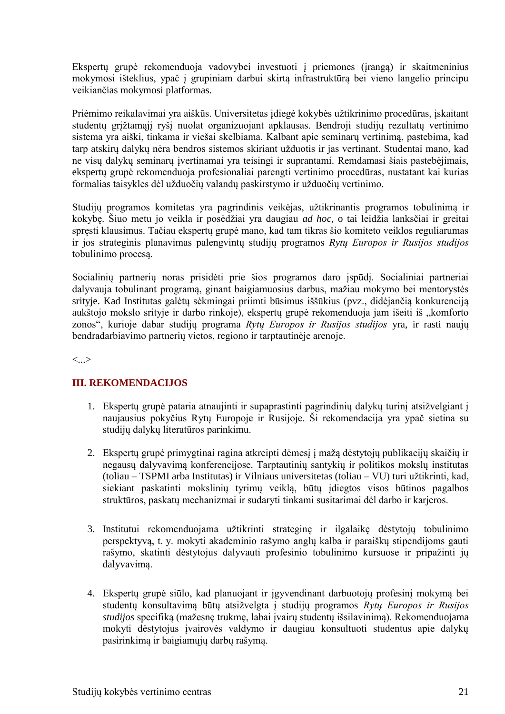Ekspertų grupė rekomenduoja vadovybei investuoti į priemones (įrangą) ir skaitmeninius mokymosi išteklius, ypač į grupiniam darbui skirtą infrastruktūrą bei vieno langelio principu veikiančias mokymosi platformas.

Priėmimo reikalavimai yra aiškūs. Universitetas įdiegė kokybės užtikrinimo procedūras, įskaitant studentų grįžtamąjį ryšį nuolat organizuojant apklausas. Bendroji studijų rezultatų vertinimo sistema yra aiški, tinkama ir viešai skelbiama. Kalbant apie seminarų vertinimą, pastebima, kad tarp atskirų dalykų nėra bendros sistemos skiriant užduotis ir jas vertinant. Studentai mano, kad ne visų dalykų seminarų įvertinamai yra teisingi ir suprantami. Remdamasi šiais pastebėjimais, ekspertų grupė rekomenduoja profesionaliai parengti vertinimo procedūras, nustatant kai kurias formalias taisykles dėl užduočių valandų paskirstymo ir užduočių vertinimo.

Studijų programos komitetas yra pagrindinis veikėjas, užtikrinantis programos tobulinimą ir kokybę. Šiuo metu jo veikla ir posėdžiai yra daugiau *ad hoc,* o tai leidžia lanksčiai ir greitai spręsti klausimus. Tačiau ekspertų grupė mano, kad tam tikras šio komiteto veiklos reguliarumas ir jos strateginis planavimas palengvintų studijų programos *Rytų Europos ir Rusijos studijos*  tobulinimo procesą.

Socialinių partnerių noras prisidėti prie šios programos daro įspūdį. Socialiniai partneriai dalyvauja tobulinant programą, ginant baigiamuosius darbus, mažiau mokymo bei mentorystės srityje. Kad Institutas galėtų sėkmingai priimti būsimus iššūkius (pvz., didėjančią konkurenciją aukštojo mokslo srityje ir darbo rinkoje), ekspertų grupė rekomenduoja jam išeiti iš "komforto zonos", kurioje dabar studijų programa *Rytų Europos ir Rusijos studijos* yra, ir rasti naujų bendradarbiavimo partnerių vietos, regiono ir tarptautinėje arenoje.

<...>

## **III. REKOMENDACIJOS**

- 1. Ekspertų grupė pataria atnaujinti ir supaprastinti pagrindinių dalykų turinį atsižvelgiant į naujausius pokyčius Rytų Europoje ir Rusijoje. Ši rekomendacija yra ypač sietina su studijų dalykų literatūros parinkimu.
- 2. Ekspertų grupė primygtinai ragina atkreipti dėmesį į mažą dėstytojų publikacijų skaičių ir negausų dalyvavimą konferencijose. Tarptautinių santykių ir politikos mokslų institutas (toliau – TSPMI arba Institutas) ir Vilniaus universitetas (toliau – VU) turi užtikrinti, kad, siekiant paskatinti mokslinių tyrimų veiklą, būtų įdiegtos visos būtinos pagalbos struktūros, paskatų mechanizmai ir sudaryti tinkami susitarimai dėl darbo ir karjeros.
- 3. Institutui rekomenduojama užtikrinti strateginę ir ilgalaikę dėstytojų tobulinimo perspektyvą, t. y. mokyti akademinio rašymo anglų kalba ir paraiškų stipendijoms gauti rašymo, skatinti dėstytojus dalyvauti profesinio tobulinimo kursuose ir pripažinti jų dalyvavimą.
- 4. Ekspertų grupė siūlo, kad planuojant ir įgyvendinant darbuotojų profesinį mokymą bei studentų konsultavimą būtų atsižvelgta į studijų programos *Rytų Europos ir Rusijos studijos* specifiką (mažesnę trukmę, labai įvairų studentų išsilavinimą). Rekomenduojama mokyti dėstytojus įvairovės valdymo ir daugiau konsultuoti studentus apie dalykų pasirinkimą ir baigiamųjų darbų rašymą.